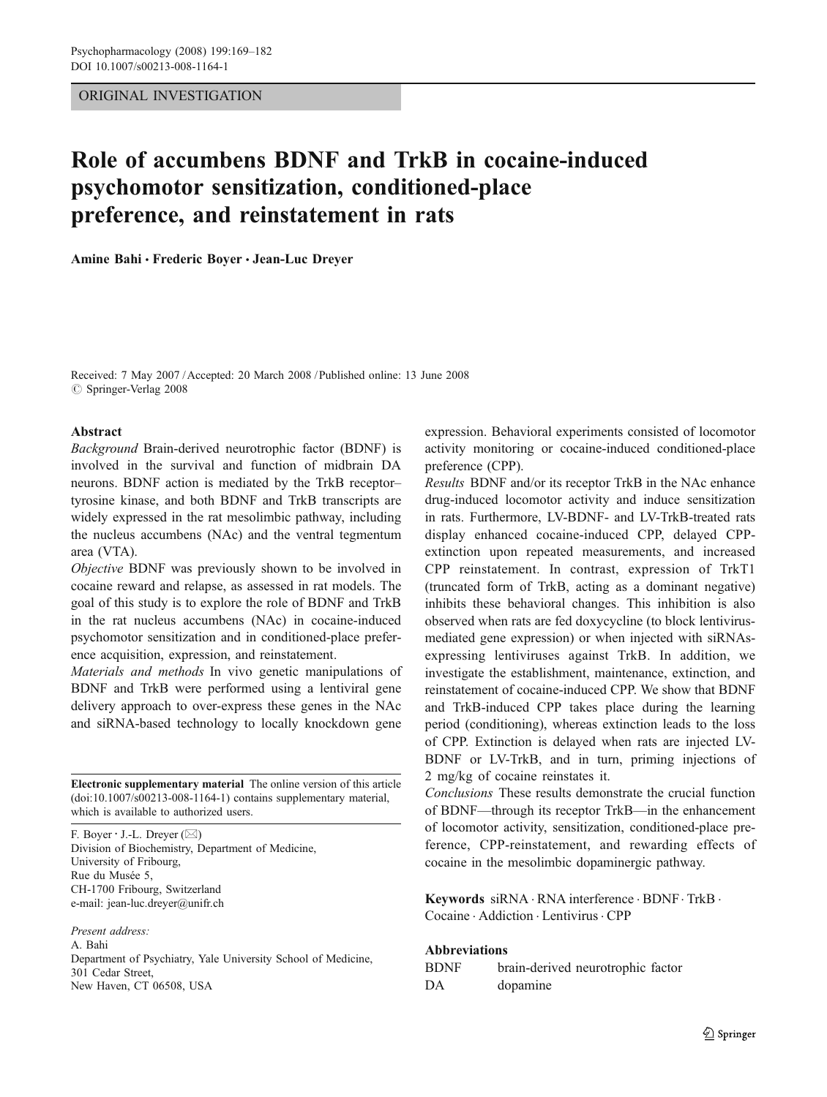## ORIGINAL INVESTIGATION

# Role of accumbens BDNF and TrkB in cocaine-induced psychomotor sensitization, conditioned-place preference, and reinstatement in rats

Amine Bahi & Frederic Boyer & Jean-Luc Dreyer

Received: 7 May 2007 /Accepted: 20 March 2008 / Published online: 13 June 2008  $\circ$  Springer-Verlag 2008

## Abstract

*Background* Brain-derived neurotrophic factor (BDNF) is involved in the survival and function of midbrain DA neurons. BDNF action is mediated by the TrkB receptor– tyrosine kinase, and both BDNF and TrkB transcripts are widely expressed in the rat mesolimbic pathway, including the nucleus accumbens (NAc) and the ventral tegmentum area (VTA).

*Objective* BDNF was previously shown to be involved in cocaine reward and relapse, as assessed in rat models. The goal of this study is to explore the role of BDNF and TrkB in the rat nucleus accumbens (NAc) in cocaine-induced psychomotor sensitization and in conditioned-place preference acquisition, expression, and reinstatement.

*Materials and methods* In vivo genetic manipulations of BDNF and TrkB were performed using a lentiviral gene delivery approach to over-express these genes in the NAc and siRNA-based technology to locally knockdown gene

Electronic supplementary material The online version of this article (doi:10.1007/s00213-008-1164-1) contains supplementary material, which is available to authorized users.

F. Boyer  $\cdot$  J.-L. Dreyer ( $\boxtimes$ ) Division of Biochemistry, Department of Medicine, University of Fribourg, Rue du Musée 5, CH-1700 Fribourg, Switzerland e-mail: jean-luc.dreyer@unifr.ch

*Present address:*

A. Bahi Department of Psychiatry, Yale University School of Medicine, 301 Cedar Street, New Haven, CT 06508, USA

expression. Behavioral experiments consisted of locomotor activity monitoring or cocaine-induced conditioned-place preference (CPP).

*Results* BDNF and/or its receptor TrkB in the NAc enhance drug-induced locomotor activity and induce sensitization in rats. Furthermore, LV-BDNF- and LV-TrkB-treated rats display enhanced cocaine-induced CPP, delayed CPPextinction upon repeated measurements, and increased CPP reinstatement. In contrast, expression of TrkT1 (truncated form of TrkB, acting as a dominant negative) inhibits these behavioral changes. This inhibition is also observed when rats are fed doxycycline (to block lentivirusmediated gene expression) or when injected with siRNAsexpressing lentiviruses against TrkB. In addition, we investigate the establishment, maintenance, extinction, and reinstatement of cocaine-induced CPP. We show that BDNF and TrkB-induced CPP takes place during the learning period (conditioning), whereas extinction leads to the loss of CPP. Extinction is delayed when rats are injected LV-BDNF or LV-TrkB, and in turn, priming injections of 2 mg/kg of cocaine reinstates it.

*Conclusions* These results demonstrate the crucial function of BDNF—through its receptor TrkB—in the enhancement of locomotor activity, sensitization, conditioned-place preference, CPP-reinstatement, and rewarding effects of cocaine in the mesolimbic dopaminergic pathway.

Keywords siRNA . RNA interference . BDNF. TrkB . Cocaine . Addiction . Lentivirus. CPP

#### Abbreviations

| BDNF | brain-derived neurotrophic factor |
|------|-----------------------------------|
| DA   | dopamine                          |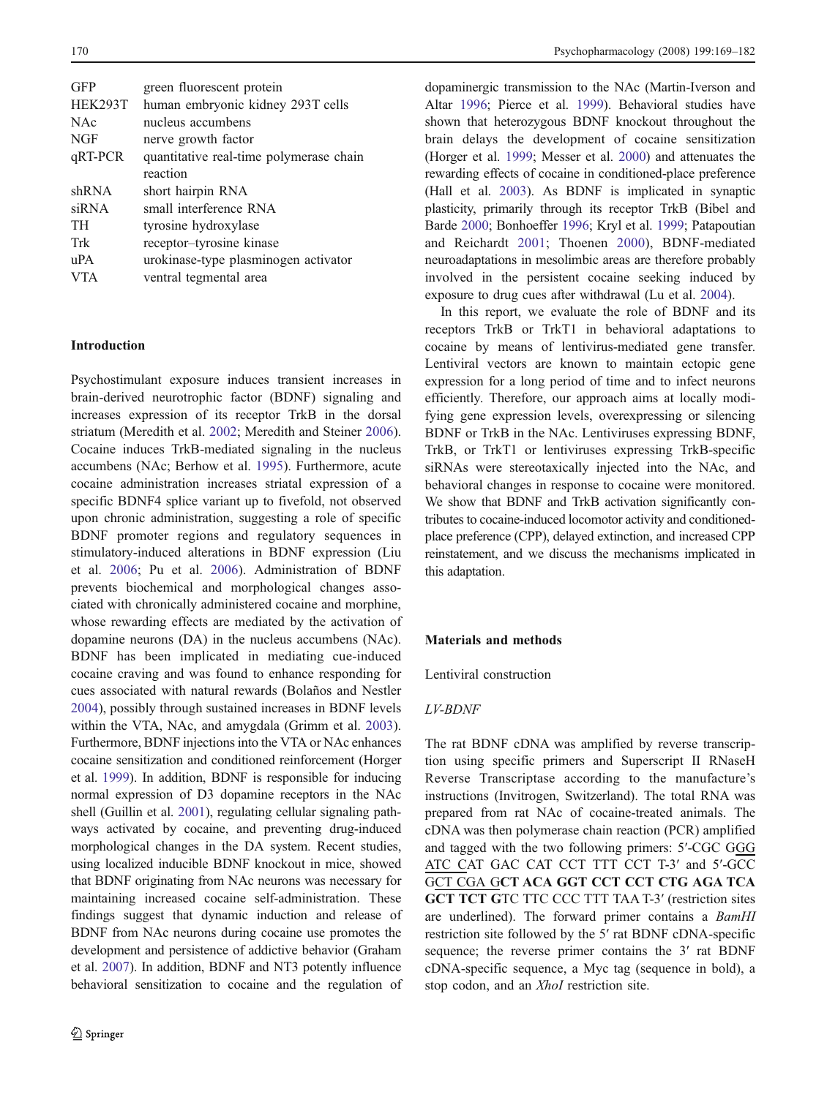| <b>GFP</b>     | green fluorescent protein               |
|----------------|-----------------------------------------|
| <b>HEK293T</b> | human embryonic kidney 293T cells       |
| <b>NAc</b>     | nucleus accumbens                       |
| <b>NGF</b>     | nerve growth factor                     |
| qRT-PCR        | quantitative real-time polymerase chain |
|                | reaction                                |
| shRNA          | short hairpin RNA                       |
| siRNA          | small interference RNA                  |
| <b>TH</b>      | tyrosine hydroxylase                    |
| Trk            | receptor-tyrosine kinase                |
| uPA            | urokinase-type plasminogen activator    |
| VTA            | ventral tegmental area                  |
|                |                                         |

## Introduction

Psychostimulant exposure induces transient increases in brain-derived neurotrophic factor (BDNF) signaling and increases expression of its receptor TrkB in the dorsal striatum (Meredith et al. 2002; Meredith and Steiner 2006). Cocaine induces TrkB-mediated signaling in the nucleus accumbens (NAc; Berhow et al. 1995). Furthermore, acute cocaine administration increases striatal expression of a specific BDNF4 splice variant up to fivefold, not observed upon chronic administration, suggesting a role of specific BDNF promoter regions and regulatory sequences in stimulatory-induced alterations in BDNF expression (Liu et al. 2006; Pu et al. 2006). Administration of BDNF prevents biochemical and morphological changes associated with chronically administered cocaine and morphine, whose rewarding effects are mediated by the activation of dopamine neurons (DA) in the nucleus accumbens (NAc). BDNF has been implicated in mediating cue-induced cocaine craving and was found to enhance responding for cues associated with natural rewards (Bolaños and Nestler 2004), possibly through sustained increases in BDNF levels within the VTA, NAc, and amygdala (Grimm et al. 2003). Furthermore, BDNF injections into the VTA or NAc enhances cocaine sensitization and conditioned reinforcement (Horger et al. 1999). In addition, BDNF is responsible for inducing normal expression of D3 dopamine receptors in the NAc shell (Guillin et al. 2001), regulating cellular signaling pathways activated by cocaine, and preventing drug-induced morphological changes in the DA system. Recent studies, using localized inducible BDNF knockout in mice, showed that BDNF originating from NAc neurons was necessary for maintaining increased cocaine self-administration. These findings suggest that dynamic induction and release of BDNF from NAc neurons during cocaine use promotes the development and persistence of addictive behavior (Graham et al. 2007). In addition, BDNF and NT3 potently influence behavioral sensitization to cocaine and the regulation of dopaminergic transmission to the NAc (Martin-Iverson and Altar 1996; Pierce et al. 1999). Behavioral studies have shown that heterozygous BDNF knockout throughout the brain delays the development of cocaine sensitization (Horger et al. 1999; Messer et al. 2000) and attenuates the rewarding effects of cocaine in conditioned-place preference (Hall et al. 2003). As BDNF is implicated in synaptic plasticity, primarily through its receptor TrkB (Bibel and Barde 2000; Bonhoeffer 1996; Kryl et al. 1999; Patapoutian and Reichardt 2001; Thoenen 2000), BDNF-mediated neuroadaptations in mesolimbic areas are therefore probably involved in the persistent cocaine seeking induced by exposure to drug cues after withdrawal (Lu et al. 2004).

In this report, we evaluate the role of BDNF and its receptors TrkB or TrkT1 in behavioral adaptations to cocaine by means of lentivirus-mediated gene transfer. Lentiviral vectors are known to maintain ectopic gene expression for a long period of time and to infect neurons efficiently. Therefore, our approach aims at locally modifying gene expression levels, overexpressing or silencing BDNF or TrkB in the NAc. Lentiviruses expressing BDNF, TrkB, or TrkT1 or lentiviruses expressing TrkB-specific siRNAs were stereotaxically injected into the NAc, and behavioral changes in response to cocaine were monitored. We show that BDNF and TrkB activation significantly contributes to cocaine-induced locomotor activity and conditionedplace preference (CPP), delayed extinction, and increased CPP reinstatement, and we discuss the mechanisms implicated in this adaptation.

#### Materials and methods

Lentiviral construction

#### *LV-BDNF*

The rat BDNF cDNA was amplified by reverse transcription using specific primers and Superscript II RNaseH Reverse Transcriptase according to the manufacture's instructions (Invitrogen, Switzerland). The total RNA was prepared from rat NAc of cocaine-treated animals. The cDNA was then polymerase chain reaction (PCR) amplified and tagged with the two following primers: 5′-CGC GGG ATC CAT GAC CAT CCT TTT CCT T-3′ and 5′-GCC GCT CGA GCT ACA GGT CCT CCT CTG AGA TCA GCT TCT GTC TTC CCC TTT TAA T-3' (restriction sites are underlined). The forward primer contains a *BamHI* restriction site followed by the 5′ rat BDNF cDNA-specific sequence; the reverse primer contains the 3′ rat BDNF cDNA-specific sequence, a Myc tag (sequence in bold), a stop codon, and an *XhoI* restriction site.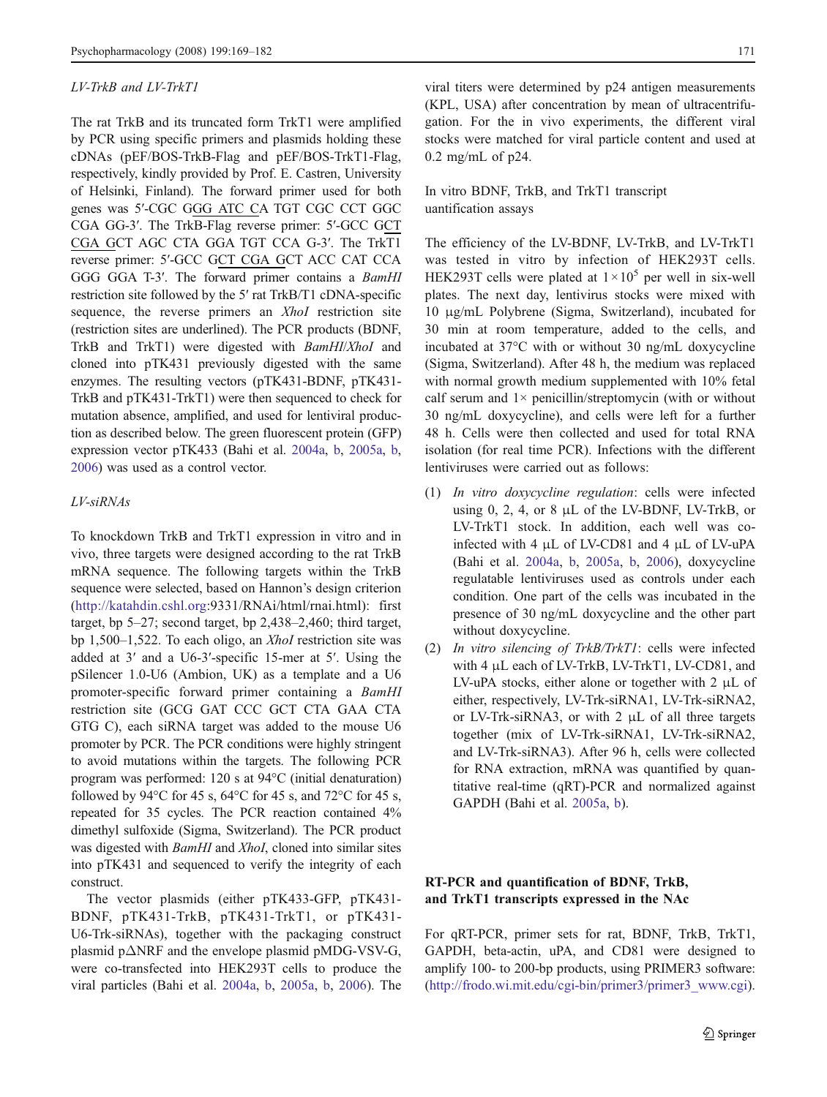#### *LV-TrkB and LV-TrkT1*

The rat TrkB and its truncated form TrkT1 were amplified by PCR using specific primers and plasmids holding these cDNAs (pEF/BOS-TrkB-Flag and pEF/BOS-TrkT1-Flag, respectively, kindly provided by Prof. E. Castren, University of Helsinki, Finland). The forward primer used for both genes was 5′-CGC GGG ATC CA TGT CGC CCT GGC CGA GG-3′. The TrkB-Flag reverse primer: 5′-GCC GCT CGA GCT AGC CTA GGA TGT CCA G-3′. The TrkT1 reverse primer: 5′-GCC GCT CGA GCT ACC CAT CCA GGG GGA T-3′. The forward primer contains a *BamHI* restriction site followed by the 5′ rat TrkB/T1 cDNA-specific sequence, the reverse primers an *XhoI* restriction site (restriction sites are underlined). The PCR products (BDNF, TrkB and TrkT1) were digested with *BamHI*/*XhoI* and cloned into pTK431 previously digested with the same enzymes. The resulting vectors (pTK431-BDNF, pTK431- TrkB and pTK431-TrkT1) were then sequenced to check for mutation absence, amplified, and used for lentiviral production as described below. The green fluorescent protein (GFP) expression vector pTK433 (Bahi et al. 2004a, b, 2005a, b, 2006) was used as a control vector.

## *LV-siRNAs*

To knockdown TrkB and TrkT1 expression in vitro and in vivo, three targets were designed according to the rat TrkB mRNA sequence. The following targets within the TrkB sequence were selected, based on Hannon's design criterion (http://katahdin.cshl.org:9331/RNAi/html/rnai.html): first target, bp 5–27; second target, bp 2,438–2,460; third target, bp 1,500–1,522. To each oligo, an *XhoI* restriction site was added at 3′ and a U6-3′-specific 15-mer at 5′. Using the pSilencer 1.0-U6 (Ambion, UK) as a template and a U6 promoter-specific forward primer containing a *BamHI* restriction site (GCG GAT CCC GCT CTA GAA CTA GTG C), each siRNA target was added to the mouse U6 promoter by PCR. The PCR conditions were highly stringent to avoid mutations within the targets. The following PCR program was performed: 120 s at 94°C (initial denaturation) followed by 94 $\degree$ C for 45 s, 64 $\degree$ C for 45 s, and 72 $\degree$ C for 45 s, repeated for 35 cycles. The PCR reaction contained 4% dimethyl sulfoxide (Sigma, Switzerland). The PCR product was digested with *BamHI* and *XhoI*, cloned into similar sites into pTK431 and sequenced to verify the integrity of each construct.

The vector plasmids (either pTK433-GFP, pTK431- BDNF, pTK431-TrkB, pTK431-TrkT1, or pTK431- U6-Trk-siRNAs), together with the packaging construct plasmid pΔNRF and the envelope plasmid pMDG-VSV-G, were co-transfected into HEK293T cells to produce the viral particles (Bahi et al. 2004a, b, 2005a, b, 2006). The

viral titers were determined by p24 antigen measurements (KPL, USA) after concentration by mean of ultracentrifugation. For the in vivo experiments, the different viral stocks were matched for viral particle content and used at 0.2 mg/mL of p24.

In vitro BDNF, TrkB, and TrkT1 transcript uantification assays

The efficiency of the LV-BDNF, LV-TrkB, and LV-TrkT1 was tested in vitro by infection of HEK293T cells. HEK293T cells were plated at  $1 \times 10^5$  per well in six-well plates. The next day, lentivirus stocks were mixed with 10 μg/mL Polybrene (Sigma, Switzerland), incubated for 30 min at room temperature, added to the cells, and incubated at 37°C with or without 30 ng/mL doxycycline (Sigma, Switzerland). After 48 h, the medium was replaced with normal growth medium supplemented with 10% fetal calf serum and  $1 \times$  penicillin/streptomycin (with or without 30 ng/mL doxycycline), and cells were left for a further 48 h. Cells were then collected and used for total RNA isolation (for real time PCR). Infections with the different lentiviruses were carried out as follows:

- (1) *In vitro doxycycline regulation*: cells were infected using 0, 2, 4, or 8  $\mu$ L of the LV-BDNF, LV-TrkB, or LV-TrkT1 stock. In addition, each well was coinfected with 4 μL of LV-CD81 and 4 μL of LV-uPA (Bahi et al. 2004a, b, 2005a, b, 2006), doxycycline regulatable lentiviruses used as controls under each condition. One part of the cells was incubated in the presence of 30 ng/mL doxycycline and the other part without doxycycline.
- (2) *In vitro silencing of TrkB/TrkT1*: cells were infected with 4 μL each of LV-TrkB, LV-TrkT1, LV-CD81, and LV-uPA stocks, either alone or together with 2 μL of either, respectively, LV-Trk-siRNA1, LV-Trk-siRNA2, or LV-Trk-siRNA3, or with 2 μL of all three targets together (mix of LV-Trk-siRNA1, LV-Trk-siRNA2, and LV-Trk-siRNA3). After 96 h, cells were collected for RNA extraction, mRNA was quantified by quantitative real-time (qRT)-PCR and normalized against GAPDH (Bahi et al. 2005a, b).

## RT-PCR and quantification of BDNF, TrkB, and TrkT1 transcripts expressed in the NAc

For qRT-PCR, primer sets for rat, BDNF, TrkB, TrkT1, GAPDH, beta-actin, uPA, and CD81 were designed to amplify 100- to 200-bp products, using PRIMER3 software: (http://frodo.wi.mit.edu/cgi-bin/primer3/primer3\_www.cgi).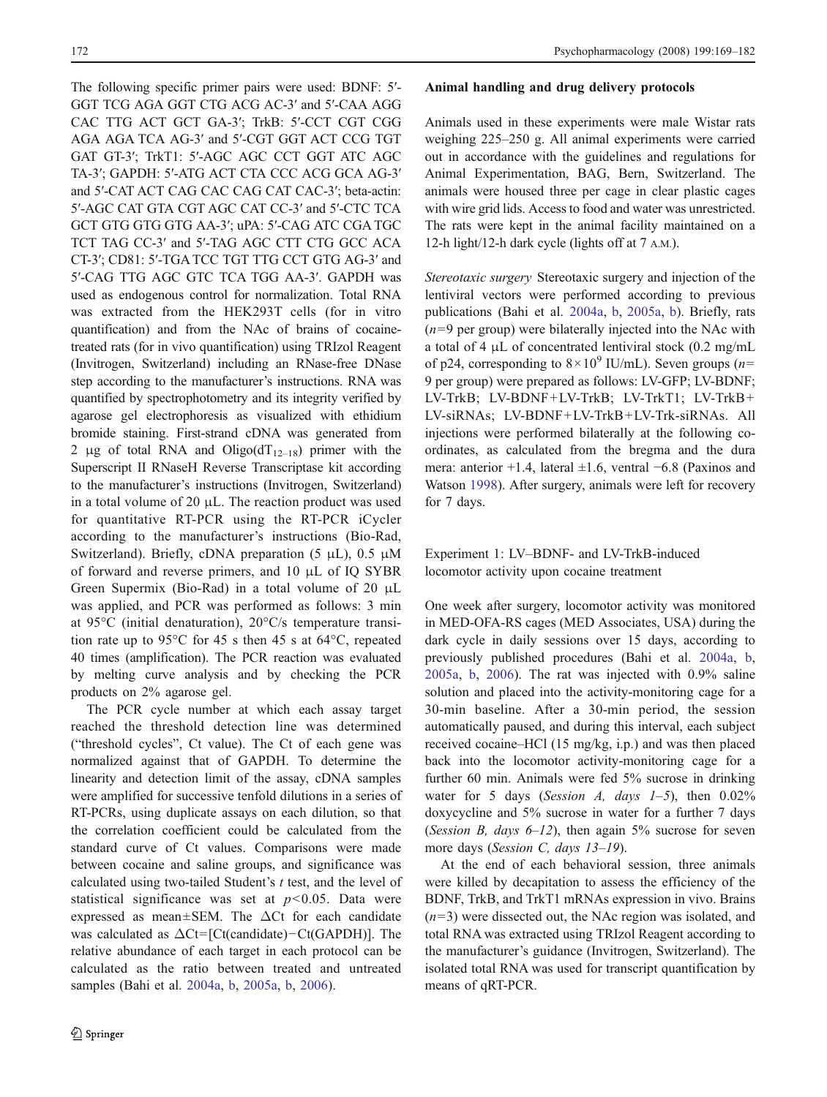The following specific primer pairs were used: BDNF: 5′- GGT TCG AGA GGT CTG ACG AC-3′ and 5′-CAA AGG CAC TTG ACT GCT GA-3′; TrkB: 5′-CCT CGT CGG AGA AGA TCA AG-3′ and 5′-CGT GGT ACT CCG TGT GAT GT-3′; TrkT1: 5′-AGC AGC CCT GGT ATC AGC TA-3′; GAPDH: 5′-ATG ACT CTA CCC ACG GCA AG-3′ and 5′-CAT ACT CAG CAC CAG CAT CAC-3′; beta-actin: 5′-AGC CAT GTA CGT AGC CAT CC-3′ and 5′-CTC TCA GCT GTG GTG GTG AA-3′; uPA: 5′-CAG ATC CGA TGC TCT TAG CC-3′ and 5′-TAG AGC CTT CTG GCC ACA CT-3′; CD81: 5′-TGA TCC TGT TTG CCT GTG AG-3′ and 5′-CAG TTG AGC GTC TCA TGG AA-3′. GAPDH was used as endogenous control for normalization. Total RNA was extracted from the HEK293T cells (for in vitro quantification) and from the NAc of brains of cocainetreated rats (for in vivo quantification) using TRIzol Reagent (Invitrogen, Switzerland) including an RNase-free DNase step according to the manufacturer's instructions. RNA was quantified by spectrophotometry and its integrity verified by agarose gel electrophoresis as visualized with ethidium bromide staining. First-strand cDNA was generated from 2 μg of total RNA and Oligo( $dT_{12-18}$ ) primer with the Superscript II RNaseH Reverse Transcriptase kit according to the manufacturer's instructions (Invitrogen, Switzerland) in a total volume of 20  $\mu$ L. The reaction product was used for quantitative RT-PCR using the RT-PCR iCycler according to the manufacturer's instructions (Bio-Rad, Switzerland). Briefly, cDNA preparation (5 μL), 0.5 μM of forward and reverse primers, and 10 μL of IQ SYBR Green Supermix (Bio-Rad) in a total volume of 20 μL was applied, and PCR was performed as follows: 3 min at 95°C (initial denaturation), 20°C/s temperature transition rate up to 95°C for 45 s then 45 s at 64°C, repeated 40 times (amplification). The PCR reaction was evaluated by melting curve analysis and by checking the PCR products on 2% agarose gel.

The PCR cycle number at which each assay target reached the threshold detection line was determined ("threshold cycles", Ct value). The Ct of each gene was normalized against that of GAPDH. To determine the linearity and detection limit of the assay, cDNA samples were amplified for successive tenfold dilutions in a series of RT-PCRs, using duplicate assays on each dilution, so that the correlation coefficient could be calculated from the standard curve of Ct values. Comparisons were made between cocaine and saline groups, and significance was calculated using two-tailed Student's *t* test, and the level of statistical significance was set at  $p < 0.05$ . Data were expressed as mean $\pm$ SEM. The  $\Delta$ Ct for each candidate was calculated as  $\Delta$ Ct= [Ct(candidate) – Ct(GAPDH)]. The relative abundance of each target in each protocol can be calculated as the ratio between treated and untreated samples (Bahi et al. 2004a, b, 2005a, b, 2006).

#### Animal handling and drug delivery protocols

Animals used in these experiments were male Wistar rats weighing 225–250 g. All animal experiments were carried out in accordance with the guidelines and regulations for Animal Experimentation, BAG, Bern, Switzerland. The animals were housed three per cage in clear plastic cages with wire grid lids. Access to food and water was unrestricted. The rats were kept in the animal facility maintained on a 12-h light/12-h dark cycle (lights off at 7 A.M.).

*Stereotaxic surgery* Stereotaxic surgery and injection of the lentiviral vectors were performed according to previous publications (Bahi et al. 2004a, b, 2005a, b). Briefly, rats  $(n=9$  per group) were bilaterally injected into the NAc with a total of 4 μL of concentrated lentiviral stock (0.2 mg/mL of p24, corresponding to  $8 \times 10^9$  IU/mL). Seven groups (*n*= 9 per group) were prepared as follows: LV-GFP; LV-BDNF; LV-TrkB; LV-BDNF+LV-TrkB; LV-TrkT1; LV-TrkB+ LV-siRNAs; LV-BDNF+LV-TrkB+LV-Trk-siRNAs. All injections were performed bilaterally at the following coordinates, as calculated from the bregma and the dura mera: anterior +1.4, lateral ±1.6, ventral −6.8 (Paxinos and Watson 1998). After surgery, animals were left for recovery for 7 days.

Experiment 1: LV–BDNF- and LV-TrkB-induced locomotor activity upon cocaine treatment

One week after surgery, locomotor activity was monitored in MED-OFA-RS cages (MED Associates, USA) during the dark cycle in daily sessions over 15 days, according to previously published procedures (Bahi et al. 2004a, b, 2005a, b, 2006). The rat was injected with 0.9% saline solution and placed into the activity-monitoring cage for a 30-min baseline. After a 30-min period, the session automatically paused, and during this interval, each subject received cocaine–HCl (15 mg/kg, i.p.) and was then placed back into the locomotor activity-monitoring cage for a further 60 min. Animals were fed 5% sucrose in drinking water for 5 days (*Session A, days 1*–*5*), then 0.02% doxycycline and 5% sucrose in water for a further 7 days (*Session B, days 6*–*12*), then again 5% sucrose for seven more days (*Session C, days 13*–*19*).

At the end of each behavioral session, three animals were killed by decapitation to assess the efficiency of the BDNF, TrkB, and TrkT1 mRNAs expression in vivo. Brains (*n*=3) were dissected out, the NAc region was isolated, and total RNA was extracted using TRIzol Reagent according to the manufacturer's guidance (Invitrogen, Switzerland). The isolated total RNA was used for transcript quantification by means of qRT-PCR.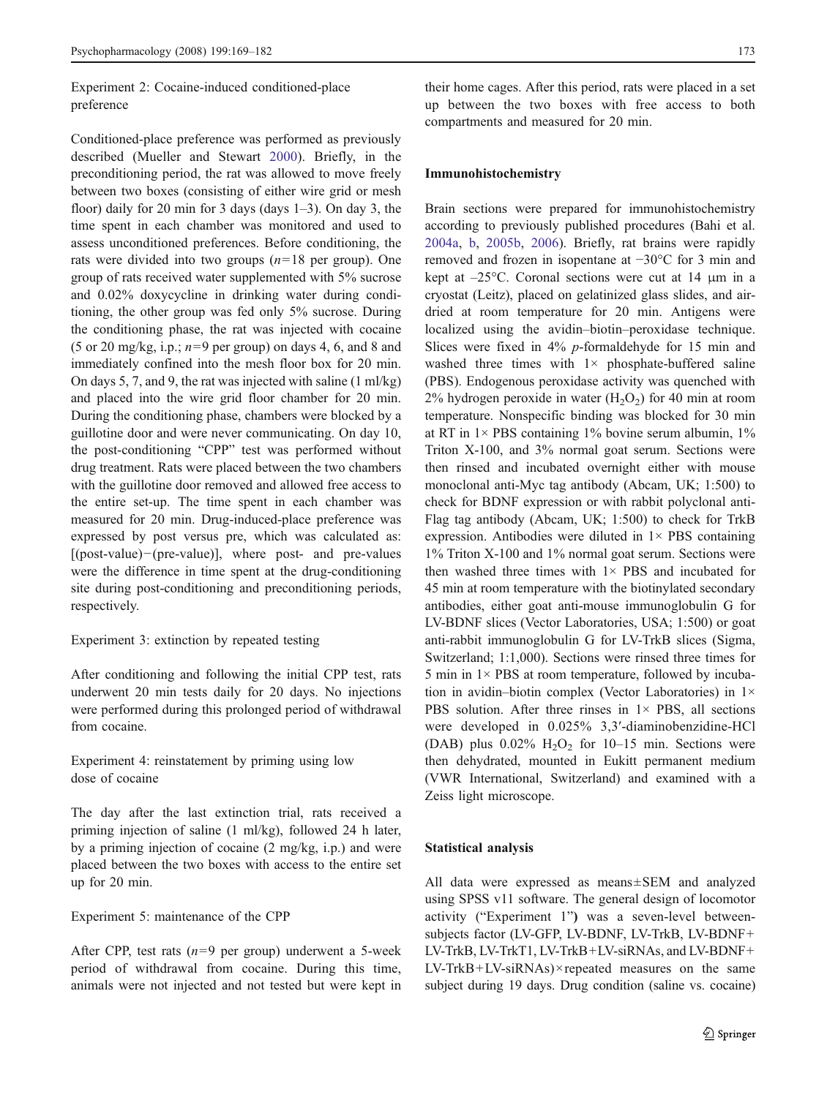Experiment 2: Cocaine-induced conditioned-place preference

Conditioned-place preference was performed as previously described (Mueller and Stewart 2000). Briefly, in the preconditioning period, the rat was allowed to move freely between two boxes (consisting of either wire grid or mesh floor) daily for 20 min for 3 days (days  $1-3$ ). On day 3, the time spent in each chamber was monitored and used to assess unconditioned preferences. Before conditioning, the rats were divided into two groups (*n*=18 per group). One group of rats received water supplemented with 5% sucrose and 0.02% doxycycline in drinking water during conditioning, the other group was fed only 5% sucrose. During the conditioning phase, the rat was injected with cocaine (5 or 20 mg/kg, i.p.; *n*=9 per group) on days 4, 6, and 8 and immediately confined into the mesh floor box for 20 min. On days 5, 7, and 9, the rat was injected with saline (1 ml/kg) and placed into the wire grid floor chamber for 20 min. During the conditioning phase, chambers were blocked by a guillotine door and were never communicating. On day 10, the post-conditioning "CPP" test was performed without drug treatment. Rats were placed between the two chambers with the guillotine door removed and allowed free access to the entire set-up. The time spent in each chamber was measured for 20 min. Drug-induced-place preference was expressed by post versus pre, which was calculated as: [(post-value)−(pre-value)], where post- and pre-values were the difference in time spent at the drug-conditioning site during post-conditioning and preconditioning periods, respectively.

Experiment 3: extinction by repeated testing

After conditioning and following the initial CPP test, rats underwent 20 min tests daily for 20 days. No injections were performed during this prolonged period of withdrawal from cocaine.

Experiment 4: reinstatement by priming using low dose of cocaine

The day after the last extinction trial, rats received a priming injection of saline (1 ml/kg), followed 24 h later, by a priming injection of cocaine (2 mg/kg, i.p.) and were placed between the two boxes with access to the entire set up for 20 min.

Experiment 5: maintenance of the CPP

After CPP, test rats (*n*=9 per group) underwent a 5-week period of withdrawal from cocaine. During this time, animals were not injected and not tested but were kept in

their home cages. After this period, rats were placed in a set up between the two boxes with free access to both compartments and measured for 20 min.

#### Immunohistochemistry

Brain sections were prepared for immunohistochemistry according to previously published procedures (Bahi et al. 2004a, b, 2005b, 2006). Briefly, rat brains were rapidly removed and frozen in isopentane at −30°C for 3 min and kept at –25°C. Coronal sections were cut at 14 μm in a cryostat (Leitz), placed on gelatinized glass slides, and airdried at room temperature for 20 min. Antigens were localized using the avidin–biotin–peroxidase technique. Slices were fixed in 4% *p*-formaldehyde for 15 min and washed three times with  $1 \times$  phosphate-buffered saline (PBS). Endogenous peroxidase activity was quenched with 2% hydrogen peroxide in water  $(H_2O_2)$  for 40 min at room temperature. Nonspecific binding was blocked for 30 min at RT in  $1 \times$  PBS containing  $1\%$  bovine serum albumin,  $1\%$ Triton X-100, and 3% normal goat serum. Sections were then rinsed and incubated overnight either with mouse monoclonal anti-Myc tag antibody (Abcam, UK; 1:500) to check for BDNF expression or with rabbit polyclonal anti-Flag tag antibody (Abcam, UK; 1:500) to check for TrkB expression. Antibodies were diluted in  $1 \times PBS$  containing 1% Triton X-100 and 1% normal goat serum. Sections were then washed three times with  $1 \times$  PBS and incubated for 45 min at room temperature with the biotinylated secondary antibodies, either goat anti-mouse immunoglobulin G for LV-BDNF slices (Vector Laboratories, USA; 1:500) or goat anti-rabbit immunoglobulin G for LV-TrkB slices (Sigma, Switzerland; 1:1,000). Sections were rinsed three times for 5 min in  $1 \times$  PBS at room temperature, followed by incubation in avidin–biotin complex (Vector Laboratories) in 1× PBS solution. After three rinses in  $1 \times$  PBS, all sections were developed in 0.025% 3,3′-diaminobenzidine-HCl (DAB) plus  $0.02\%$  H<sub>2</sub>O<sub>2</sub> for 10–15 min. Sections were then dehydrated, mounted in Eukitt permanent medium (VWR International, Switzerland) and examined with a Zeiss light microscope.

#### Statistical analysis

All data were expressed as means±SEM and analyzed using SPSS v11 software. The general design of locomotor activity ("Experiment 1") was a seven-level betweensubjects factor (LV-GFP, LV-BDNF, LV-TrkB, LV-BDNF+ LV-TrkB, LV-TrkT1, LV-TrkB+LV-siRNAs, and LV-BDNF+ LV-TrkB+LV-siRNAs)× repeated measures on the same subject during 19 days. Drug condition (saline vs. cocaine)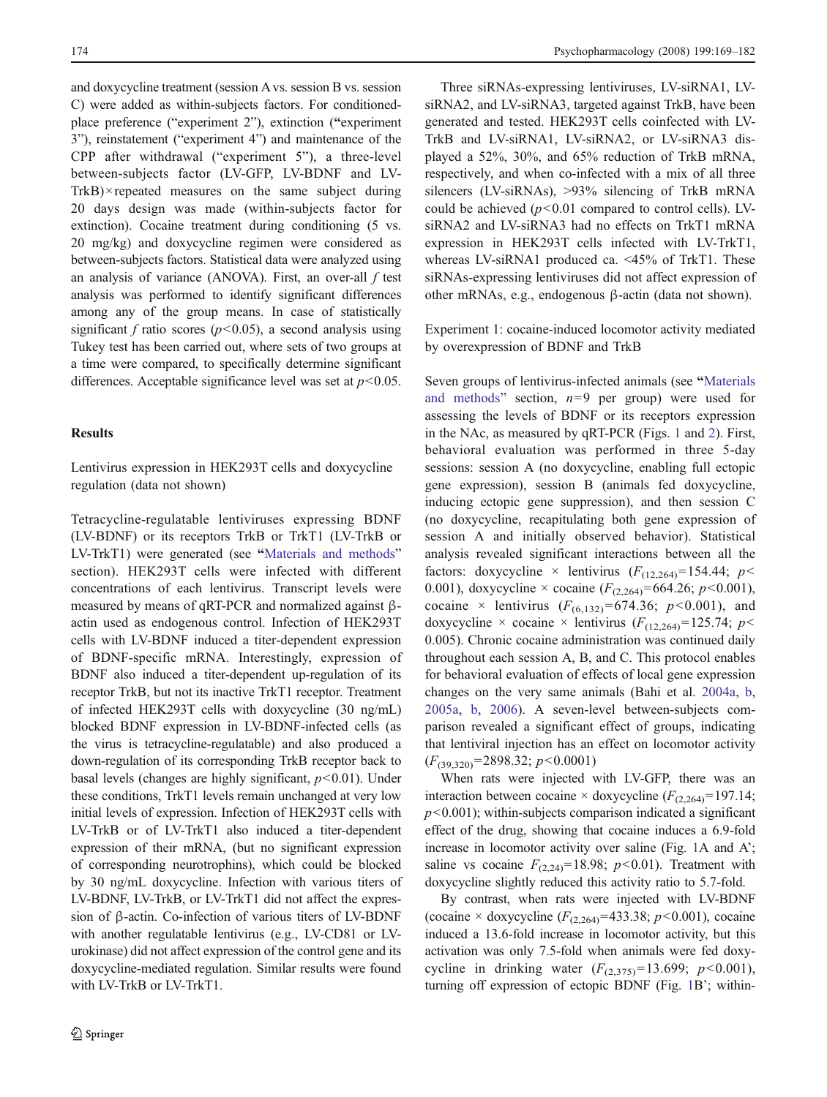and doxycycline treatment (session A vs. session B vs. session C) were added as within-subjects factors. For conditionedplace preference ("experiment 2"), extinction ("experiment 3"), reinstatement ("experiment 4") and maintenance of the CPP after withdrawal ("experiment 5"), a three-level between-subjects factor (LV-GFP, LV-BDNF and LV-TrkB)× repeated measures on the same subject during 20 days design was made (within-subjects factor for extinction). Cocaine treatment during conditioning (5 vs. 20 mg/kg) and doxycycline regimen were considered as between-subjects factors. Statistical data were analyzed using an analysis of variance (ANOVA). First, an over-all *f* test analysis was performed to identify significant differences among any of the group means. In case of statistically significant *f* ratio scores ( $p$ <0.05), a second analysis using Tukey test has been carried out, where sets of two groups at a time were compared, to specifically determine significant differences. Acceptable significance level was set at *p*<0.05.

## **Results**

Lentivirus expression in HEK293T cells and doxycycline regulation (data not shown)

Tetracycline-regulatable lentiviruses expressing BDNF (LV-BDNF) or its receptors TrkB or TrkT1 (LV-TrkB or LV-TrkT1) were generated (see "Materials and methods" section). HEK293T cells were infected with different concentrations of each lentivirus. Transcript levels were measured by means of qRT-PCR and normalized against βactin used as endogenous control. Infection of HEK293T cells with LV-BDNF induced a titer-dependent expression of BDNF-specific mRNA. Interestingly, expression of BDNF also induced a titer-dependent up-regulation of its receptor TrkB, but not its inactive TrkT1 receptor. Treatment of infected HEK293T cells with doxycycline (30 ng/mL) blocked BDNF expression in LV-BDNF-infected cells (as the virus is tetracycline-regulatable) and also produced a down-regulation of its corresponding TrkB receptor back to basal levels (changes are highly significant, *p*<0.01). Under these conditions, TrkT1 levels remain unchanged at very low initial levels of expression. Infection of HEK293T cells with LV-TrkB or of LV-TrkT1 also induced a titer-dependent expression of their mRNA, (but no significant expression of corresponding neurotrophins), which could be blocked by 30 ng/mL doxycycline. Infection with various titers of LV-BDNF, LV-TrkB, or LV-TrkT1 did not affect the expression of β-actin. Co-infection of various titers of LV-BDNF with another regulatable lentivirus (e.g., LV-CD81 or LVurokinase) did not affect expression of the control gene and its doxycycline-mediated regulation. Similar results were found with LV-TrkB or LV-TrkT1.

Three siRNAs-expressing lentiviruses, LV-siRNA1, LVsiRNA2, and LV-siRNA3, targeted against TrkB, have been generated and tested. HEK293T cells coinfected with LV-TrkB and LV-siRNA1, LV-siRNA2, or LV-siRNA3 displayed a 52%, 30%, and 65% reduction of TrkB mRNA, respectively, and when co-infected with a mix of all three silencers (LV-siRNAs), >93% silencing of TrkB mRNA could be achieved  $(p<0.01$  compared to control cells). LVsiRNA2 and LV-siRNA3 had no effects on TrkT1 mRNA expression in HEK293T cells infected with LV-TrkT1, whereas LV-siRNA1 produced ca. <45% of TrkT1. These siRNAs-expressing lentiviruses did not affect expression of other mRNAs, e.g., endogenous β-actin (data not shown).

Experiment 1: cocaine-induced locomotor activity mediated by overexpression of BDNF and TrkB

Seven groups of lentivirus-infected animals (see "Materials and methods" section, *n*=9 per group) were used for assessing the levels of BDNF or its receptors expression in the NAc, as measured by qRT-PCR (Figs. 1 and 2). First, behavioral evaluation was performed in three 5-day sessions: session A (no doxycycline, enabling full ectopic gene expression), session B (animals fed doxycycline, inducing ectopic gene suppression), and then session C (no doxycycline, recapitulating both gene expression of session A and initially observed behavior). Statistical analysis revealed significant interactions between all the factors: doxycycline × lentivirus  $(F_{(12,264)}=154.44; p<$ 0.001), doxycycline  $\times$  cocaine ( $F_{(2,264)}$ =664.26; *p*<0.001), cocaine × lentivirus  $(F_{(6,132)}=674.36; p<0.001)$ , and doxycycline × cocaine × lentivirus  $(F_{(12,264)}=125.74; p<$ 0.005). Chronic cocaine administration was continued daily throughout each session A, B, and C. This protocol enables for behavioral evaluation of effects of local gene expression changes on the very same animals (Bahi et al. 2004a, b, 2005a, b, 2006). A seven-level between-subjects comparison revealed a significant effect of groups, indicating that lentiviral injection has an effect on locomotor activity (*F*(39,320)=2898.32; *p*<0.0001)

When rats were injected with LV-GFP, there was an interaction between cocaine  $\times$  doxycycline  $(F_{(2,264)}=197.14;$  $p$ <0.001); within-subjects comparison indicated a significant effect of the drug, showing that cocaine induces a 6.9-fold increase in locomotor activity over saline (Fig. 1A and A'; saline vs cocaine  $F_{(2,24)}$ =18.98; *p*<0.01). Treatment with doxycycline slightly reduced this activity ratio to 5.7-fold.

By contrast, when rats were injected with LV-BDNF (cocaine  $\times$  doxycycline  $(F_{(2,264)}=433.38; p<0.001)$ , cocaine induced a 13.6-fold increase in locomotor activity, but this activation was only 7.5-fold when animals were fed doxycycline in drinking water  $(F_{(2,375)}=13.699; p<0.001)$ , turning off expression of ectopic BDNF (Fig. 1B'; within-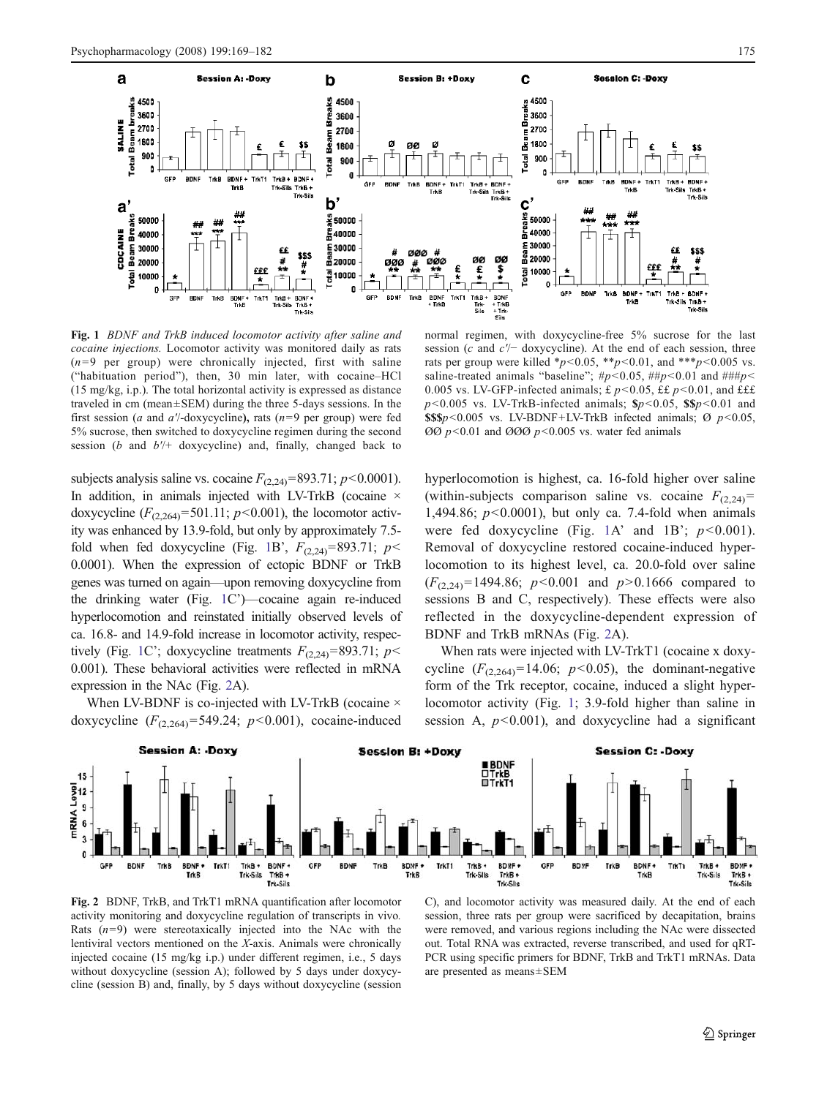

Fig. 1 *BDNF and TrkB induced locomotor activity after saline and cocaine injections.* Locomotor activity was monitored daily as rats  $(n=9$  per group) were chronically injected, first with saline ("habituation period"), then, 30 min later, with cocaine–HCl (15 mg/kg, i.p.). The total horizontal activity is expressed as distance traveled in cm (mean±SEM) during the three 5-days sessions. In the first session (*a* and *a*′/-doxycycline), rats (*n*=9 per group) were fed 5% sucrose, then switched to doxycycline regimen during the second session (*b* and *b*′/+ doxycycline) and, finally, changed back to

subjects analysis saline vs. cocaine  $F_{(2,24)}$ =893.71;  $p$  < 0.0001). In addition, in animals injected with LV-TrkB (cocaine  $\times$ doxycycline  $(F_{(2,264)} = 501.11; p < 0.001)$ , the locomotor activity was enhanced by 13.9-fold, but only by approximately 7.5 fold when fed doxycycline (Fig. 1B',  $F_{(2,24)}$ =893.71;  $p$  < 0.0001). When the expression of ectopic BDNF or TrkB genes was turned on again—upon removing doxycycline from the drinking water (Fig. 1C')—cocaine again re-induced hyperlocomotion and reinstated initially observed levels of ca. 16.8- and 14.9-fold increase in locomotor activity, respectively (Fig. 1C'; doxycycline treatments  $F_{(2,24)}$ =893.71; *p*< 0.001). These behavioral activities were reflected in mRNA expression in the NAc (Fig. 2A).

When LV-BDNF is co-injected with LV-TrkB (cocaine  $\times$ doxycycline  $(F_{(2,264)} = 549.24; p < 0.001)$ , cocaine-induced

normal regimen, with doxycycline-free 5% sucrose for the last session (*c* and *c*′/− doxycycline). At the end of each session, three rats per group were killed  $*_{p}$ <0.05,  $*_{p}$  <0.01, and  $*_{p}$  <0.005 vs. saline-treated animals "baseline"; #*p*<0.05, ##*p*<0.01 and ###*p*< 0.005 vs. LV-GFP-infected animals; £  $p$  < 0.05, ££  $p$  < 0.01, and £££ *p*< 0.005 vs. LV-TrkB-infected animals; \$*p*<0.05, \$\$*p*<0.01 and  $$$ \$\$\$p < 0.005 vs. LV-BDNF + LV-TrkB infected animals;  $\varnothing$  p < 0.05,  $\varnothing\varnothing$  *p*<0.01 and  $\varnothing\varnothing\varnothing$  *p*<0.005 vs. water fed animals

hyperlocomotion is highest, ca. 16-fold higher over saline (within-subjects comparison saline vs. cocaine  $F_{(2,24)}$ = 1,494.86; *p*<0.0001), but only ca. 7.4-fold when animals were fed doxycycline (Fig. 1A' and 1B';  $p < 0.001$ ). Removal of doxycycline restored cocaine-induced hyperlocomotion to its highest level, ca. 20.0-fold over saline (*F*(2,24)=1494.86; *p*<0.001 and *p*>0.1666 compared to sessions B and C, respectively). These effects were also reflected in the doxycycline-dependent expression of BDNF and TrkB mRNAs (Fig. 2A).

When rats were injected with LV-TrkT1 (cocaine x doxycycline  $(F_{(2,264)}=14.06; p<0.05)$ , the dominant-negative form of the Trk receptor, cocaine, induced a slight hyperlocomotor activity (Fig. 1; 3.9-fold higher than saline in session A,  $p<0.001$ ), and doxycycline had a significant



Fig. 2 BDNF, TrkB, and TrkT1 mRNA quantification after locomotor activity monitoring and doxycycline regulation of transcripts in vivo*.* Rats  $(n=9)$  were stereotaxically injected into the NAc with the lentiviral vectors mentioned on the *X*-axis. Animals were chronically injected cocaine (15 mg/kg i.p.) under different regimen, i.e., 5 days without doxycycline (session A); followed by 5 days under doxycycline (session B) and, finally, by 5 days without doxycycline (session

C), and locomotor activity was measured daily. At the end of each session, three rats per group were sacrificed by decapitation, brains were removed, and various regions including the NAc were dissected out. Total RNA was extracted, reverse transcribed, and used for qRT-PCR using specific primers for BDNF, TrkB and TrkT1 mRNAs. Data are presented as means±SEM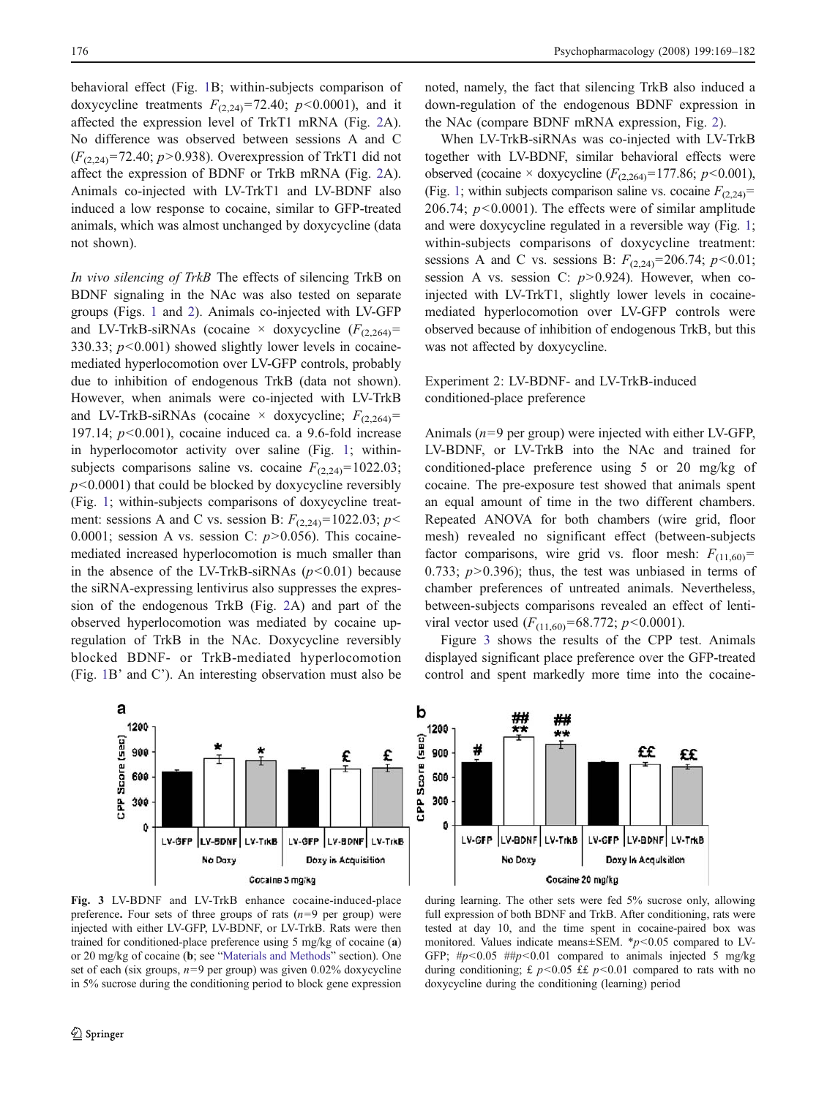behavioral effect (Fig. 1B; within-subjects comparison of doxycycline treatments  $F_{(2,24)}$ =72.40;  $p$ <0.0001), and it affected the expression level of TrkT1 mRNA (Fig. 2A). No difference was observed between sessions A and C (*F*(2,24)=72.40; *p*>0.938). Overexpression of TrkT1 did not affect the expression of BDNF or TrkB mRNA (Fig. 2A). Animals co-injected with LV-TrkT1 and LV-BDNF also induced a low response to cocaine, similar to GFP-treated animals, which was almost unchanged by doxycycline (data not shown).

*In vivo silencing of TrkB* The effects of silencing TrkB on BDNF signaling in the NAc was also tested on separate groups (Figs. 1 and 2). Animals co-injected with LV-GFP and LV-TrkB-siRNAs (cocaine  $\times$  doxycycline  $(F_{(2,264)}=$ 330.33;  $p$ <0.001) showed slightly lower levels in cocainemediated hyperlocomotion over LV-GFP controls, probably due to inhibition of endogenous TrkB (data not shown). However, when animals were co-injected with LV-TrkB and LV-TrkB-siRNAs (cocaine  $\times$  doxycycline;  $F_{(2,264)}$ = 197.14; *p*<0.001), cocaine induced ca. a 9.6-fold increase in hyperlocomotor activity over saline (Fig. 1; withinsubjects comparisons saline vs. cocaine  $F_{(2,24)}$ =1022.03;  $p$ <0.0001) that could be blocked by doxycycline reversibly (Fig. 1; within-subjects comparisons of doxycycline treatment: sessions A and C vs. session B:  $F_{(2,24)}=1022.03$ ;  $p<$ 0.0001; session A vs. session C: *p*>0.056). This cocainemediated increased hyperlocomotion is much smaller than in the absence of the LV-TrkB-siRNAs  $(p<0.01)$  because the siRNA-expressing lentivirus also suppresses the expression of the endogenous TrkB (Fig. 2A) and part of the observed hyperlocomotion was mediated by cocaine upregulation of TrkB in the NAc. Doxycycline reversibly blocked BDNF- or TrkB-mediated hyperlocomotion (Fig. 1B' and C'). An interesting observation must also be



noted, namely, the fact that silencing TrkB also induced a down-regulation of the endogenous BDNF expression in the NAc (compare BDNF mRNA expression, Fig. 2).

When LV-TrkB-siRNAs was co-injected with LV-TrkB together with LV-BDNF, similar behavioral effects were observed (cocaine  $\times$  doxycycline ( $F_{(2,264)}$ =177.86; *p*<0.001), (Fig. 1; within subjects comparison saline vs. cocaine  $F_{(2,24)}$ = 206.74; *p*<0.0001). The effects were of similar amplitude and were doxycycline regulated in a reversible way (Fig. 1; within-subjects comparisons of doxycycline treatment: sessions A and C vs. sessions B:  $F_{(2,24)}=206.74$ ;  $p<0.01$ ; session A vs. session C: *p*>0.924). However, when coinjected with LV-TrkT1, slightly lower levels in cocainemediated hyperlocomotion over LV-GFP controls were observed because of inhibition of endogenous TrkB, but this was not affected by doxycycline.

## Experiment 2: LV-BDNF- and LV-TrkB-induced conditioned-place preference

Animals (*n*=9 per group) were injected with either LV-GFP, LV-BDNF, or LV-TrkB into the NAc and trained for conditioned-place preference using 5 or 20 mg/kg of cocaine. The pre-exposure test showed that animals spent an equal amount of time in the two different chambers. Repeated ANOVA for both chambers (wire grid, floor mesh) revealed no significant effect (between-subjects factor comparisons, wire grid vs. floor mesh:  $F_{(11,60)}$ = 0.733;  $p > 0.396$ ; thus, the test was unbiased in terms of chamber preferences of untreated animals. Nevertheless, between-subjects comparisons revealed an effect of lentiviral vector used  $(F_{(11,60)}=68.772; p<0.0001)$ .

Figure 3 shows the results of the CPP test. Animals displayed significant place preference over the GFP-treated control and spent markedly more time into the cocaine-



Fig. 3 LV-BDNF and LV-TrkB enhance cocaine-induced-place preference. Four sets of three groups of rats (*n*=9 per group) were injected with either LV-GFP, LV-BDNF, or LV-TrkB. Rats were then trained for conditioned-place preference using 5 mg/kg of cocaine (a) or 20 mg/kg of cocaine (b; see "Materials and Methods" section). One set of each (six groups,  $n=9$  per group) was given 0.02% doxycycline in 5% sucrose during the conditioning period to block gene expression

during learning. The other sets were fed 5% sucrose only, allowing full expression of both BDNF and TrkB. After conditioning, rats were tested at day 10, and the time spent in cocaine-paired box was monitored. Values indicate means±SEM. \**p*<0.05 compared to LV-GFP; #*p*<0.05 ##*p*<0.01 compared to animals injected 5 mg/kg during conditioning;  $\pounds p < 0.05$   $\pounds p < 0.01$  compared to rats with no doxycycline during the conditioning (learning) period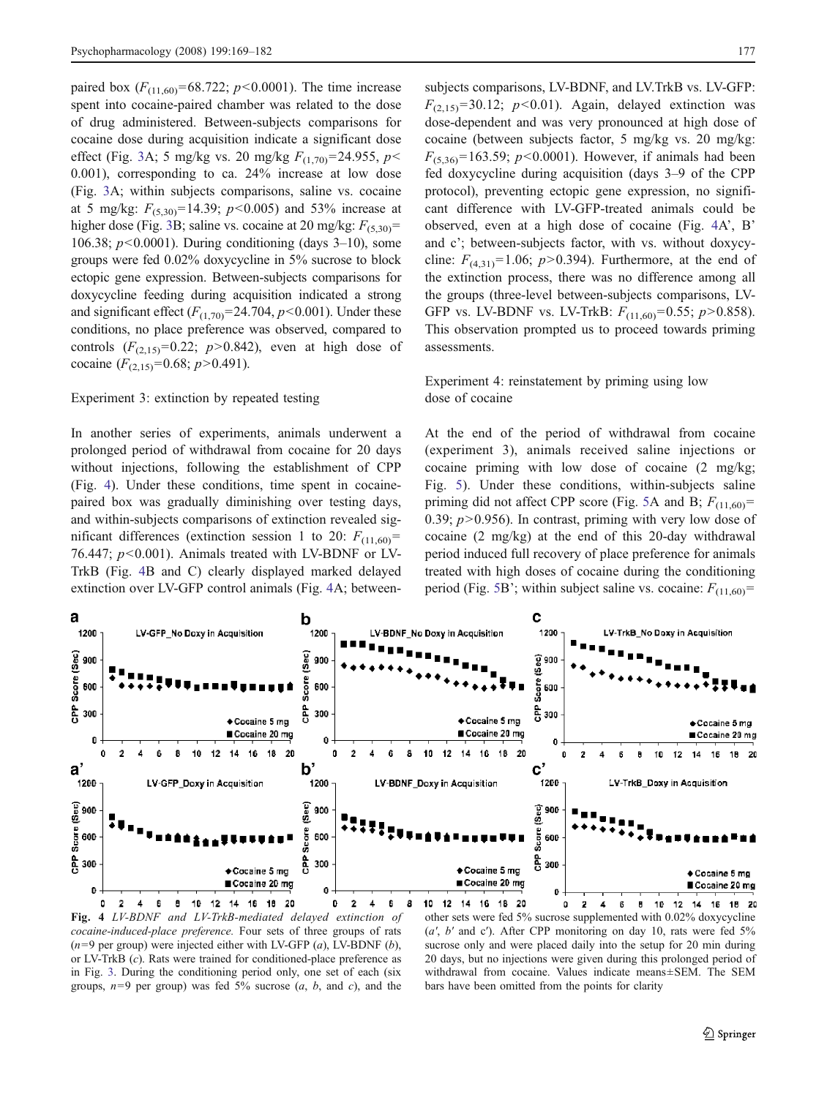paired box  $(F_{(11,60)}=68.722; p<0.0001)$ . The time increase spent into cocaine-paired chamber was related to the dose of drug administered. Between-subjects comparisons for cocaine dose during acquisition indicate a significant dose effect (Fig. 3A; 5 mg/kg vs. 20 mg/kg *F*(1,70)=24.955, *p*< 0.001), corresponding to ca. 24% increase at low dose (Fig. 3A; within subjects comparisons, saline vs. cocaine at 5 mg/kg:  $F_{(5,30)}$ =14.39;  $p$ <0.005) and 53% increase at higher dose (Fig. 3B; saline vs. cocaine at 20 mg/kg:  $F_{(5,30)}$ = 106.38; *p*<0.0001). During conditioning (days 3–10), some groups were fed 0.02% doxycycline in 5% sucrose to block ectopic gene expression. Between-subjects comparisons for doxycycline feeding during acquisition indicated a strong and significant effect  $(F_{(1,70)}=24.704, p<0.001)$ . Under these conditions, no place preference was observed, compared to controls  $(F_{(2,15)}=0.22; p>0.842)$ , even at high dose of cocaine  $(F_{(2,15)}=0.68; p>0.491)$ .

## Experiment 3: extinction by repeated testing

In another series of experiments, animals underwent a prolonged period of withdrawal from cocaine for 20 days without injections, following the establishment of CPP (Fig. 4). Under these conditions, time spent in cocainepaired box was gradually diminishing over testing days, and within-subjects comparisons of extinction revealed significant differences (extinction session 1 to 20:  $F_{(11,60)}$ = 76.447; *p*<0.001). Animals treated with LV-BDNF or LV-TrkB (Fig. 4B and C) clearly displayed marked delayed extinction over LV-GFP control animals (Fig. 4A; betweensubjects comparisons, LV-BDNF, and LV.TrkB vs. LV-GFP:  $F_{(2,15)}$ =30.12; *p*<0.01). Again, delayed extinction was dose-dependent and was very pronounced at high dose of cocaine (between subjects factor, 5 mg/kg vs. 20 mg/kg:  $F_{(5,36)}$ =163.59; *p*<0.0001). However, if animals had been fed doxycycline during acquisition (days 3–9 of the CPP protocol), preventing ectopic gene expression, no significant difference with LV-GFP-treated animals could be observed, even at a high dose of cocaine (Fig. 4A', B' and c'; between-subjects factor, with vs. without doxycycline:  $F_{(4,31)}=1.06$ ;  $p>0.394$ ). Furthermore, at the end of the extinction process, there was no difference among all the groups (three-level between-subjects comparisons, LV-GFP vs. LV-BDNF vs. LV-TrkB: *F*(11,60)=0.55; *p*>0.858). This observation prompted us to proceed towards priming assessments.

## Experiment 4: reinstatement by priming using low dose of cocaine

At the end of the period of withdrawal from cocaine (experiment 3), animals received saline injections or cocaine priming with low dose of cocaine (2 mg/kg; Fig. 5). Under these conditions, within-subjects saline priming did not affect CPP score (Fig. 5A and B;  $F_{(11,60)}$ = 0.39;  $p > 0.956$ ). In contrast, priming with very low dose of cocaine (2 mg/kg) at the end of this 20-day withdrawal period induced full recovery of place preference for animals treated with high doses of cocaine during the conditioning period (Fig. 5B'; within subject saline vs. cocaine:  $F_{(11,60)}$ =



Fig. 4 *LV-BDNF and LV-TrkB-mediated delayed extinction of cocaine-induced-place preference.* Four sets of three groups of rats (*n*=9 per group) were injected either with LV-GFP (*a*), LV-BDNF (*b*), or LV-TrkB (*c*). Rats were trained for conditioned-place preference as in Fig. 3. During the conditioning period only, one set of each (six groups,  $n=9$  per group) was fed 5% sucrose  $(a, b, \text{ and } c)$ , and the

other sets were fed 5% sucrose supplemented with 0.02% doxycycline (*a*′, *b*′ and c′). After CPP monitoring on day 10, rats were fed 5% sucrose only and were placed daily into the setup for 20 min during 20 days, but no injections were given during this prolonged period of withdrawal from cocaine. Values indicate means±SEM. The SEM bars have been omitted from the points for clarity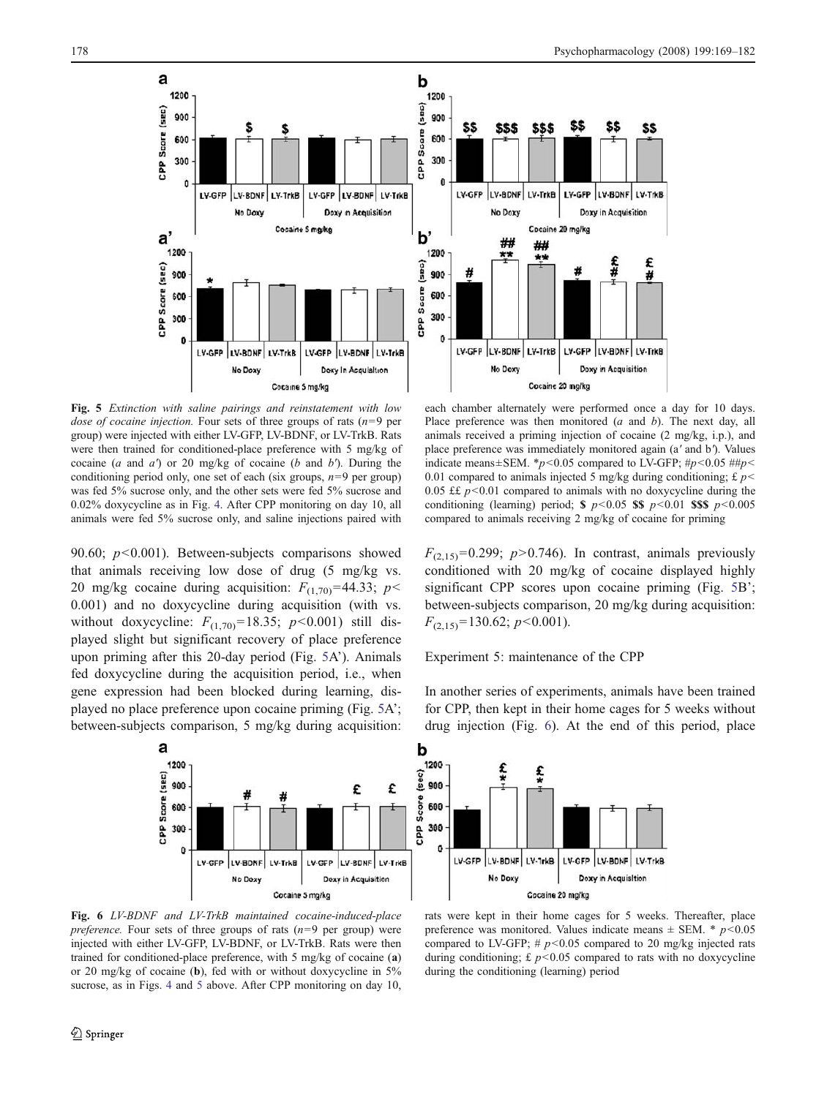

Fig. 5 *Extinction with saline pairings and reinstatement with low dose of cocaine injection.* Four sets of three groups of rats (*n*=9 per group) were injected with either LV-GFP, LV-BDNF, or LV-TrkB. Rats were then trained for conditioned-place preference with 5 mg/kg of cocaine (*a* and *a*′) or 20 mg/kg of cocaine (*b* and *b*′). During the conditioning period only, one set of each (six groups, *n*=9 per group) was fed 5% sucrose only, and the other sets were fed 5% sucrose and 0.02% doxycycline as in Fig. 4. After CPP monitoring on day 10, all animals were fed 5% sucrose only, and saline injections paired with

90.60; *p*<0.001). Between-subjects comparisons showed that animals receiving low dose of drug (5 mg/kg vs. 20 mg/kg cocaine during acquisition:  $F_{(1,70)}$ =44.33; *p* < 0.001) and no doxycycline during acquisition (with vs. without doxycycline:  $F_{(1,70)} = 18.35; p < 0.001$ ) still displayed slight but significant recovery of place preference upon priming after this 20-day period (Fig. 5A'). Animals fed doxycycline during the acquisition period, i.e., when gene expression had been blocked during learning, displayed no place preference upon cocaine priming (Fig. 5A'; between-subjects comparison, 5 mg/kg during acquisition:

 $\mathbf{a}$ 



LV-GFP LV-BDNF

No Doxy

600

300

G<sub>R</sub>

1200 CPP Score (sec) 900 £ £ Score 600 300  $\theta$ LV-GFP LV-BDNF LV-GFP LY-BONF LV-TrkB LV-TrkE Doxy in Acquisition No Doxy Cocaine 5 mg/kg

Fig. 6 *LV-BDNF and LV-TrkB maintained cocaine-induced-place preference.* Four sets of three groups of rats (*n*=9 per group) were injected with either LV-GFP, LV-BDNF, or LV-TrkB. Rats were then trained for conditioned-place preference, with 5 mg/kg of cocaine (a) or 20 mg/kg of cocaine (b), fed with or without doxycycline in 5% sucrose, as in Figs. 4 and 5 above. After CPP monitoring on day 10,

rats were kept in their home cages for 5 weeks. Thereafter, place preference was monitored. Values indicate means  $\pm$  SEM. \* *p*<0.05 compared to LV-GFP;  $\# p$ <0.05 compared to 20 mg/kg injected rats during conditioning;  $\pounds p < 0.05$  compared to rats with no doxycycline during the conditioning (learning) period

LV-GFP LV-BDNF LV-TrkE

Doxy in Acquisition

 $F_{(2,15)}=0.299$ ;  $p>0.746$ ). In contrast, animals previously conditioned with 20 mg/kg of cocaine displayed highly significant CPP scores upon cocaine priming (Fig. 5B'; between-subjects comparison, 20 mg/kg during acquisition: *F*(2,15)=130.62; *p*<0.001).

Place preference was then monitored (*a* and *b*). The next day, all animals received a priming injection of cocaine (2 mg/kg, i.p.), and place preference was immediately monitored again (a′ and b′). Values indicate means±SEM. \**p*<0.05 compared to LV-GFP; #*p*<0.05 ##*p*< 0.01 compared to animals injected 5 mg/kg during conditioning;  $\pounds p$  < 0.05  $\pounds$   $p \le 0.01$  compared to animals with no doxycycline during the conditioning (learning) period;  $\frac{1}{2}$  *p*<0.05  $\frac{1}{2}$  *p*<0.01  $\frac{1}{2}$  *p*<0.005 compared to animals receiving 2 mg/kg of cocaine for priming

Experiment 5: maintenance of the CPP

LV-TrkB

Cocaine 20 mg/kg

In another series of experiments, animals have been trained for CPP, then kept in their home cages for 5 weeks without drug injection (Fig. 6). At the end of this period, place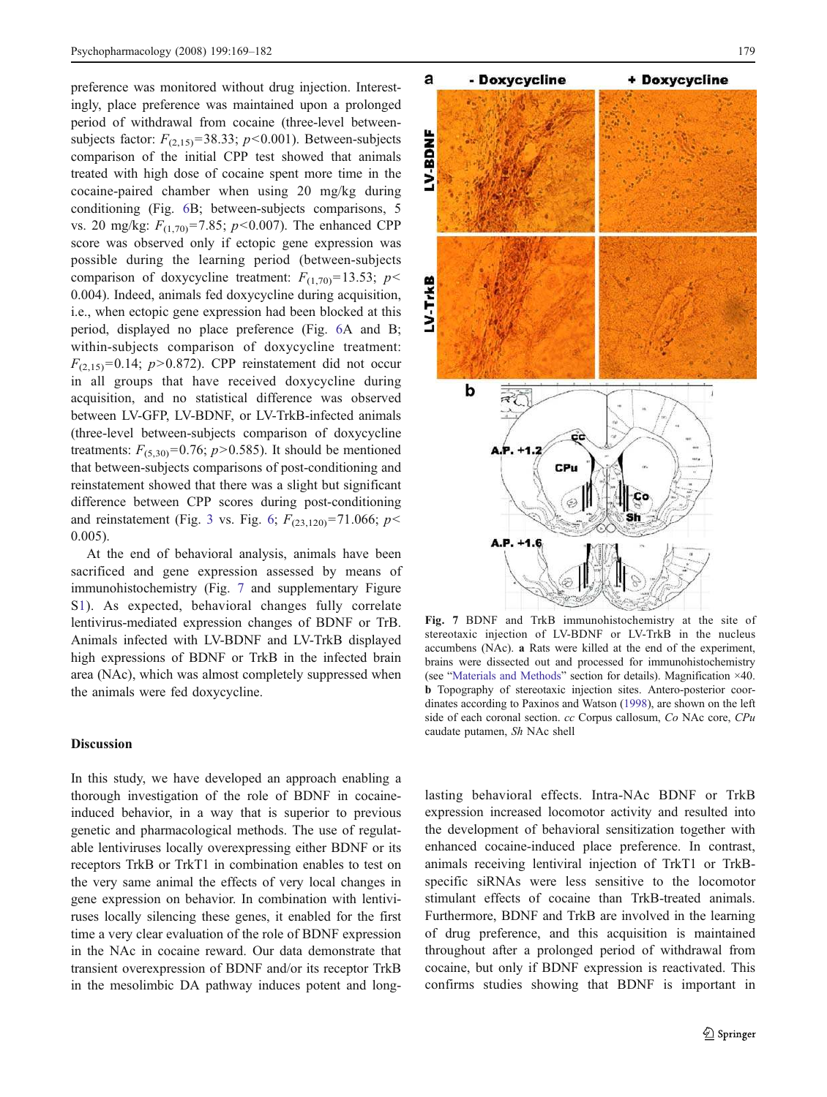preference was monitored without drug injection. Interestingly, place preference was maintained upon a prolonged period of withdrawal from cocaine (three-level betweensubjects factor:  $F_{(2,15)}$ =38.33; *p*<0.001). Between-subjects comparison of the initial CPP test showed that animals treated with high dose of cocaine spent more time in the cocaine-paired chamber when using 20 mg/kg during conditioning (Fig. 6B; between-subjects comparisons, 5 vs. 20 mg/kg: *F*(1,70)=7.85; *p*<0.007). The enhanced CPP score was observed only if ectopic gene expression was possible during the learning period (between-subjects comparison of doxycycline treatment:  $F_{(1,70)}$ =13.53; *p* < 0.004). Indeed, animals fed doxycycline during acquisition, i.e., when ectopic gene expression had been blocked at this period, displayed no place preference (Fig. 6A and B; within-subjects comparison of doxycycline treatment:  $F<sub>(2,15)</sub> = 0.14$ ; *p*>0.872). CPP reinstatement did not occur in all groups that have received doxycycline during acquisition, and no statistical difference was observed between LV-GFP, LV-BDNF, or LV-TrkB-infected animals (three-level between-subjects comparison of doxycycline treatments:  $F_{(5,30)}=0.76$ ;  $p>0.585$ ). It should be mentioned that between-subjects comparisons of post-conditioning and reinstatement showed that there was a slight but significant difference between CPP scores during post-conditioning and reinstatement (Fig. 3 vs. Fig. 6;  $F_{(23,120)}$ =71.066; *p* < 0.005).

At the end of behavioral analysis, animals have been sacrificed and gene expression assessed by means of immunohistochemistry (Fig. 7 and supplementary Figure S1). As expected, behavioral changes fully correlate lentivirus-mediated expression changes of BDNF or TrB. Animals infected with LV-BDNF and LV-TrkB displayed high expressions of BDNF or TrkB in the infected brain area (NAc), which was almost completely suppressed when the animals were fed doxycycline.

#### **Discussion**

In this study, we have developed an approach enabling a thorough investigation of the role of BDNF in cocaineinduced behavior, in a way that is superior to previous genetic and pharmacological methods. The use of regulatable lentiviruses locally overexpressing either BDNF or its receptors TrkB or TrkT1 in combination enables to test on the very same animal the effects of very local changes in gene expression on behavior. In combination with lentiviruses locally silencing these genes, it enabled for the first time a very clear evaluation of the role of BDNF expression in the NAc in cocaine reward. Our data demonstrate that transient overexpression of BDNF and/or its receptor TrkB in the mesolimbic DA pathway induces potent and long-



Fig. 7 BDNF and TrkB immunohistochemistry at the site of stereotaxic injection of LV-BDNF or LV-TrkB in the nucleus accumbens (NAc). a Rats were killed at the end of the experiment, brains were dissected out and processed for immunohistochemistry (see "Materials and Methods" section for details). Magnification ×40. b Topography of stereotaxic injection sites. Antero-posterior coordinates according to Paxinos and Watson (1998), are shown on the left side of each coronal section. *cc* Corpus callosum, *Co* NAc core, *CPu* caudate putamen, *Sh* NAc shell

lasting behavioral effects. Intra-NAc BDNF or TrkB expression increased locomotor activity and resulted into the development of behavioral sensitization together with enhanced cocaine-induced place preference. In contrast, animals receiving lentiviral injection of TrkT1 or TrkBspecific siRNAs were less sensitive to the locomotor stimulant effects of cocaine than TrkB-treated animals. Furthermore, BDNF and TrkB are involved in the learning of drug preference, and this acquisition is maintained throughout after a prolonged period of withdrawal from cocaine, but only if BDNF expression is reactivated. This confirms studies showing that BDNF is important in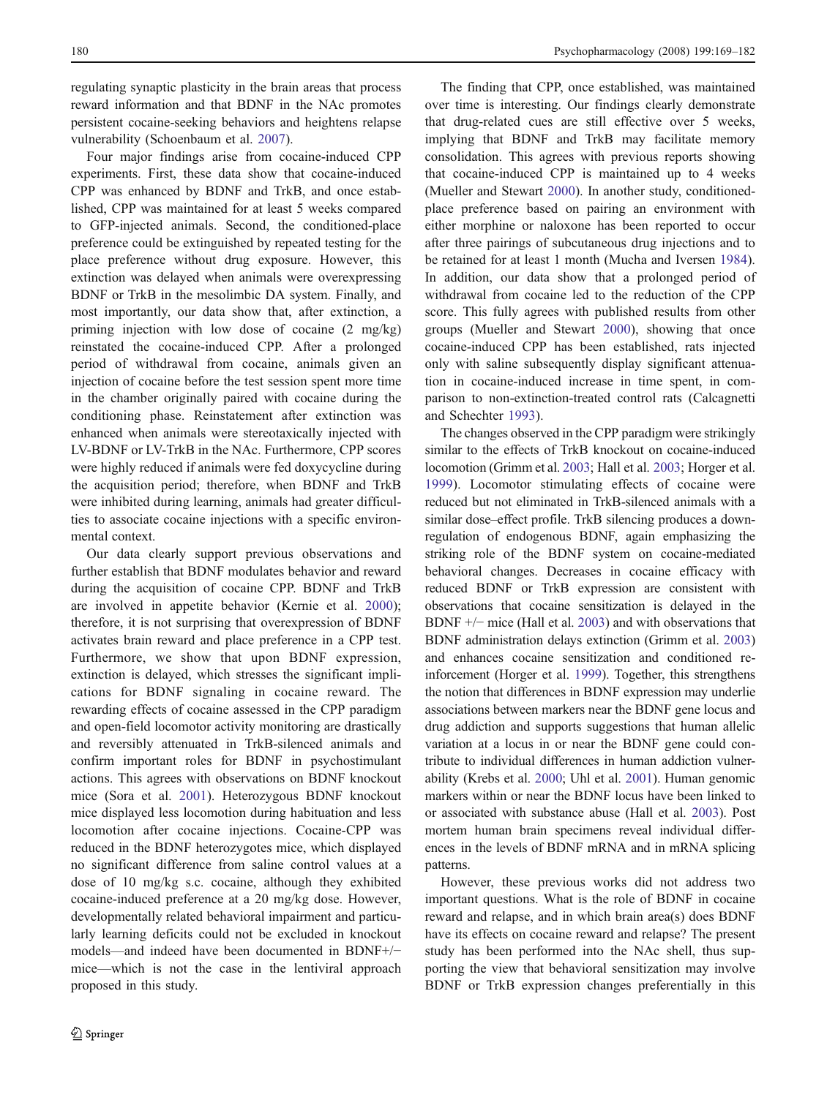regulating synaptic plasticity in the brain areas that process reward information and that BDNF in the NAc promotes persistent cocaine-seeking behaviors and heightens relapse vulnerability (Schoenbaum et al. 2007).

Four major findings arise from cocaine-induced CPP experiments. First, these data show that cocaine-induced CPP was enhanced by BDNF and TrkB, and once established, CPP was maintained for at least 5 weeks compared to GFP-injected animals. Second, the conditioned-place preference could be extinguished by repeated testing for the place preference without drug exposure. However, this extinction was delayed when animals were overexpressing BDNF or TrkB in the mesolimbic DA system. Finally, and most importantly, our data show that, after extinction, a priming injection with low dose of cocaine (2 mg/kg) reinstated the cocaine-induced CPP. After a prolonged period of withdrawal from cocaine, animals given an injection of cocaine before the test session spent more time in the chamber originally paired with cocaine during the conditioning phase. Reinstatement after extinction was enhanced when animals were stereotaxically injected with LV-BDNF or LV-TrkB in the NAc. Furthermore, CPP scores were highly reduced if animals were fed doxycycline during the acquisition period; therefore, when BDNF and TrkB were inhibited during learning, animals had greater difficulties to associate cocaine injections with a specific environmental context.

Our data clearly support previous observations and further establish that BDNF modulates behavior and reward during the acquisition of cocaine CPP. BDNF and TrkB are involved in appetite behavior (Kernie et al. 2000); therefore, it is not surprising that overexpression of BDNF activates brain reward and place preference in a CPP test. Furthermore, we show that upon BDNF expression, extinction is delayed, which stresses the significant implications for BDNF signaling in cocaine reward. The rewarding effects of cocaine assessed in the CPP paradigm and open-field locomotor activity monitoring are drastically and reversibly attenuated in TrkB-silenced animals and confirm important roles for BDNF in psychostimulant actions. This agrees with observations on BDNF knockout mice (Sora et al. 2001). Heterozygous BDNF knockout mice displayed less locomotion during habituation and less locomotion after cocaine injections. Cocaine-CPP was reduced in the BDNF heterozygotes mice, which displayed no significant difference from saline control values at a dose of 10 mg/kg s.c. cocaine, although they exhibited cocaine-induced preference at a 20 mg/kg dose. However, developmentally related behavioral impairment and particularly learning deficits could not be excluded in knockout models—and indeed have been documented in BDNF+/− mice—which is not the case in the lentiviral approach proposed in this study.

The finding that CPP, once established, was maintained over time is interesting. Our findings clearly demonstrate that drug-related cues are still effective over 5 weeks, implying that BDNF and TrkB may facilitate memory consolidation. This agrees with previous reports showing that cocaine-induced CPP is maintained up to 4 weeks (Mueller and Stewart 2000). In another study, conditionedplace preference based on pairing an environment with either morphine or naloxone has been reported to occur after three pairings of subcutaneous drug injections and to be retained for at least 1 month (Mucha and Iversen 1984). In addition, our data show that a prolonged period of withdrawal from cocaine led to the reduction of the CPP score. This fully agrees with published results from other groups (Mueller and Stewart 2000), showing that once cocaine-induced CPP has been established, rats injected only with saline subsequently display significant attenuation in cocaine-induced increase in time spent, in comparison to non-extinction-treated control rats (Calcagnetti and Schechter 1993).

The changes observed in the CPP paradigm were strikingly similar to the effects of TrkB knockout on cocaine-induced locomotion (Grimm et al. 2003; Hall et al. 2003; Horger et al. 1999). Locomotor stimulating effects of cocaine were reduced but not eliminated in TrkB-silenced animals with a similar dose–effect profile. TrkB silencing produces a downregulation of endogenous BDNF, again emphasizing the striking role of the BDNF system on cocaine-mediated behavioral changes. Decreases in cocaine efficacy with reduced BDNF or TrkB expression are consistent with observations that cocaine sensitization is delayed in the BDNF +/− mice (Hall et al. 2003) and with observations that BDNF administration delays extinction (Grimm et al. 2003) and enhances cocaine sensitization and conditioned reinforcement (Horger et al. 1999). Together, this strengthens the notion that differences in BDNF expression may underlie associations between markers near the BDNF gene locus and drug addiction and supports suggestions that human allelic variation at a locus in or near the BDNF gene could contribute to individual differences in human addiction vulnerability (Krebs et al. 2000; Uhl et al. 2001). Human genomic markers within or near the BDNF locus have been linked to or associated with substance abuse (Hall et al. 2003). Post mortem human brain specimens reveal individual differences in the levels of BDNF mRNA and in mRNA splicing patterns.

However, these previous works did not address two important questions. What is the role of BDNF in cocaine reward and relapse, and in which brain area(s) does BDNF have its effects on cocaine reward and relapse? The present study has been performed into the NAc shell, thus supporting the view that behavioral sensitization may involve BDNF or TrkB expression changes preferentially in this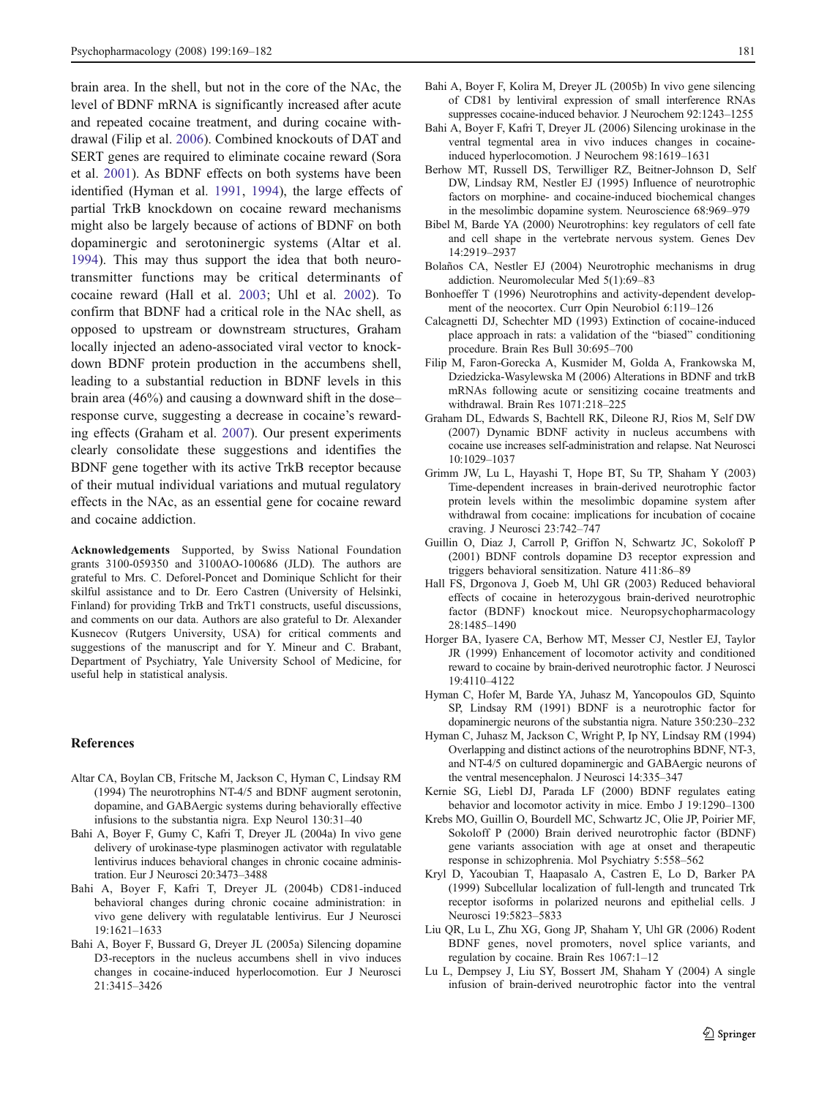brain area. In the shell, but not in the core of the NAc, the level of BDNF mRNA is significantly increased after acute and repeated cocaine treatment, and during cocaine withdrawal (Filip et al. 2006). Combined knockouts of DAT and SERT genes are required to eliminate cocaine reward (Sora et al. 2001). As BDNF effects on both systems have been identified (Hyman et al. 1991, 1994), the large effects of partial TrkB knockdown on cocaine reward mechanisms might also be largely because of actions of BDNF on both dopaminergic and serotoninergic systems (Altar et al. 1994). This may thus support the idea that both neurotransmitter functions may be critical determinants of cocaine reward (Hall et al. 2003; Uhl et al. 2002). To confirm that BDNF had a critical role in the NAc shell, as opposed to upstream or downstream structures, Graham locally injected an adeno-associated viral vector to knockdown BDNF protein production in the accumbens shell, leading to a substantial reduction in BDNF levels in this brain area (46%) and causing a downward shift in the dose– response curve, suggesting a decrease in cocaine's rewarding effects (Graham et al. 2007). Our present experiments clearly consolidate these suggestions and identifies the BDNF gene together with its active TrkB receptor because of their mutual individual variations and mutual regulatory effects in the NAc, as an essential gene for cocaine reward and cocaine addiction.

Acknowledgements Supported, by Swiss National Foundation grants 3100-059350 and 3100AO-100686 (JLD). The authors are grateful to Mrs. C. Deforel-Poncet and Dominique Schlicht for their skilful assistance and to Dr. Eero Castren (University of Helsinki, Finland) for providing TrkB and TrkT1 constructs, useful discussions, and comments on our data. Authors are also grateful to Dr. Alexander Kusnecov (Rutgers University, USA) for critical comments and suggestions of the manuscript and for Y. Mineur and C. Brabant, Department of Psychiatry, Yale University School of Medicine, for useful help in statistical analysis.

## References

- Altar CA, Boylan CB, Fritsche M, Jackson C, Hyman C, Lindsay RM (1994) The neurotrophins NT-4/5 and BDNF augment serotonin, dopamine, and GABAergic systems during behaviorally effective infusions to the substantia nigra. Exp Neurol 130:31–40
- Bahi A, Boyer F, Gumy C, Kafri T, Dreyer JL (2004a) In vivo gene delivery of urokinase-type plasminogen activator with regulatable lentivirus induces behavioral changes in chronic cocaine administration. Eur J Neurosci 20:3473–3488
- Bahi A, Boyer F, Kafri T, Dreyer JL (2004b) CD81-induced behavioral changes during chronic cocaine administration: in vivo gene delivery with regulatable lentivirus. Eur J Neurosci 19:1621–1633
- Bahi A, Boyer F, Bussard G, Dreyer JL (2005a) Silencing dopamine D3-receptors in the nucleus accumbens shell in vivo induces changes in cocaine-induced hyperlocomotion. Eur J Neurosci 21:3415–3426
- Bahi A, Boyer F, Kolira M, Dreyer JL (2005b) In vivo gene silencing of CD81 by lentiviral expression of small interference RNAs suppresses cocaine-induced behavior. J Neurochem 92:1243–1255
- Bahi A, Boyer F, Kafri T, Dreyer JL (2006) Silencing urokinase in the ventral tegmental area in vivo induces changes in cocaineinduced hyperlocomotion. J Neurochem 98:1619–1631
- Berhow MT, Russell DS, Terwilliger RZ, Beitner-Johnson D, Self DW, Lindsay RM, Nestler EJ (1995) Influence of neurotrophic factors on morphine- and cocaine-induced biochemical changes in the mesolimbic dopamine system. Neuroscience 68:969–979
- Bibel M, Barde YA (2000) Neurotrophins: key regulators of cell fate and cell shape in the vertebrate nervous system. Genes Dev 14:2919–2937
- Bolaños CA, Nestler EJ (2004) Neurotrophic mechanisms in drug addiction. Neuromolecular Med 5(1):69–83
- Bonhoeffer T (1996) Neurotrophins and activity-dependent development of the neocortex. Curr Opin Neurobiol 6:119–126
- Calcagnetti DJ, Schechter MD (1993) Extinction of cocaine-induced place approach in rats: a validation of the "biased" conditioning procedure. Brain Res Bull 30:695–700
- Filip M, Faron-Gorecka A, Kusmider M, Golda A, Frankowska M, Dziedzicka-Wasylewska M (2006) Alterations in BDNF and trkB mRNAs following acute or sensitizing cocaine treatments and withdrawal. Brain Res 1071:218–225
- Graham DL, Edwards S, Bachtell RK, Dileone RJ, Rios M, Self DW (2007) Dynamic BDNF activity in nucleus accumbens with cocaine use increases self-administration and relapse. Nat Neurosci 10:1029–1037
- Grimm JW, Lu L, Hayashi T, Hope BT, Su TP, Shaham Y (2003) Time-dependent increases in brain-derived neurotrophic factor protein levels within the mesolimbic dopamine system after withdrawal from cocaine: implications for incubation of cocaine craving. J Neurosci 23:742–747
- Guillin O, Diaz J, Carroll P, Griffon N, Schwartz JC, Sokoloff P (2001) BDNF controls dopamine D3 receptor expression and triggers behavioral sensitization. Nature 411:86–89
- Hall FS, Drgonova J, Goeb M, Uhl GR (2003) Reduced behavioral effects of cocaine in heterozygous brain-derived neurotrophic factor (BDNF) knockout mice. Neuropsychopharmacology 28:1485–1490
- Horger BA, Iyasere CA, Berhow MT, Messer CJ, Nestler EJ, Taylor JR (1999) Enhancement of locomotor activity and conditioned reward to cocaine by brain-derived neurotrophic factor. J Neurosci 19:4110–4122
- Hyman C, Hofer M, Barde YA, Juhasz M, Yancopoulos GD, Squinto SP, Lindsay RM (1991) BDNF is a neurotrophic factor for dopaminergic neurons of the substantia nigra. Nature 350:230–232
- Hyman C, Juhasz M, Jackson C, Wright P, Ip NY, Lindsay RM (1994) Overlapping and distinct actions of the neurotrophins BDNF, NT-3, and NT-4/5 on cultured dopaminergic and GABAergic neurons of the ventral mesencephalon. J Neurosci 14:335–347
- Kernie SG, Liebl DJ, Parada LF (2000) BDNF regulates eating behavior and locomotor activity in mice. Embo J 19:1290–1300
- Krebs MO, Guillin O, Bourdell MC, Schwartz JC, Olie JP, Poirier MF, Sokoloff P (2000) Brain derived neurotrophic factor (BDNF) gene variants association with age at onset and therapeutic response in schizophrenia. Mol Psychiatry 5:558–562
- Kryl D, Yacoubian T, Haapasalo A, Castren E, Lo D, Barker PA (1999) Subcellular localization of full-length and truncated Trk receptor isoforms in polarized neurons and epithelial cells. J Neurosci 19:5823–5833
- Liu QR, Lu L, Zhu XG, Gong JP, Shaham Y, Uhl GR (2006) Rodent BDNF genes, novel promoters, novel splice variants, and regulation by cocaine. Brain Res 1067:1–12
- Lu L, Dempsey J, Liu SY, Bossert JM, Shaham Y (2004) A single infusion of brain-derived neurotrophic factor into the ventral